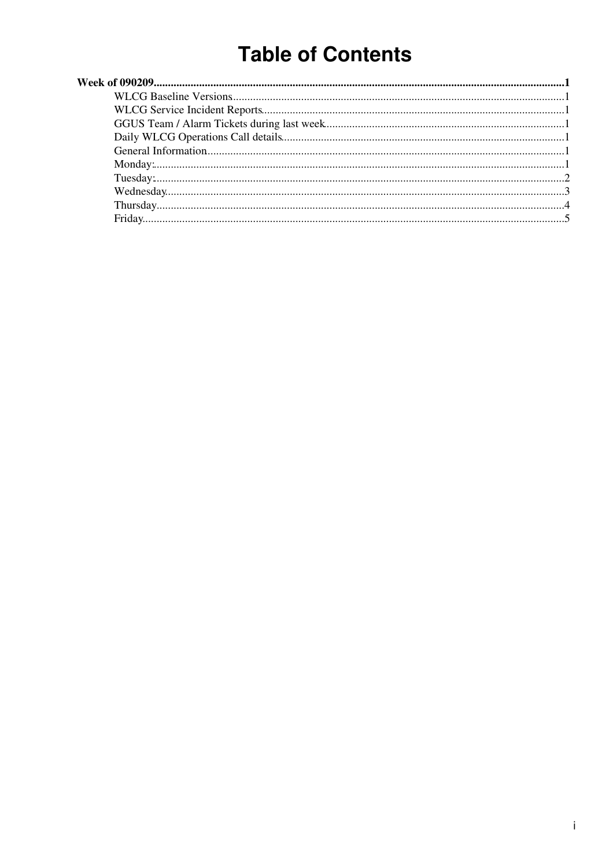# **Table of Contents**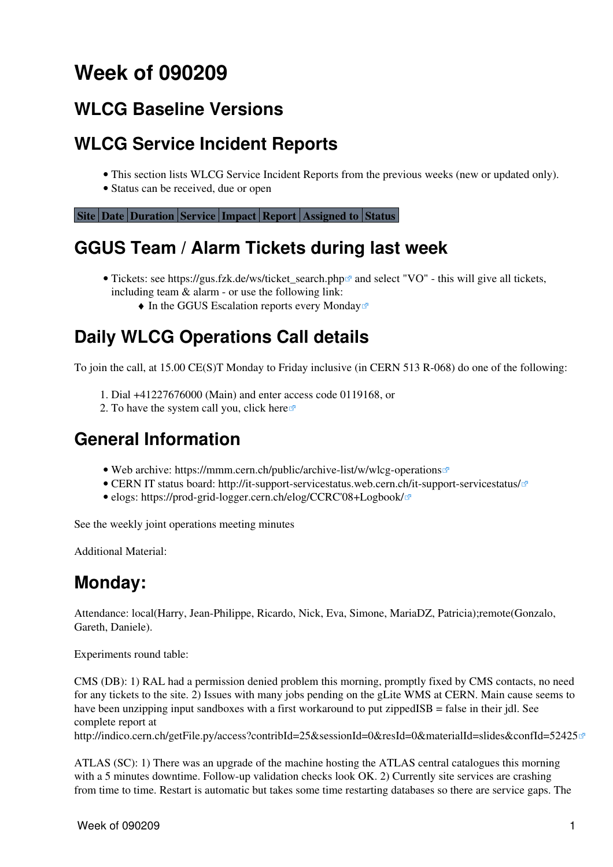# <span id="page-1-0"></span>**Week of 090209**

## <span id="page-1-1"></span>**[WLCG Baseline Versions](https://twiki.cern.ch/twiki/bin/view/LCG/WLCGBaselineVersions)**

# <span id="page-1-2"></span>**[WLCG Service Incident Reports](https://twiki.cern.ch/twiki/bin/view/LCG/WLCGServiceIncidents)**

- This section lists WLCG Service Incident Reports from the previous weeks (new or updated only).
- Status can be received, due or open

**[Site](https://twiki.cern.ch/twiki/bin/genpdf/LCG/WLCGDailyMeetingsWeek090209?skin=pattern;cover=print;sortcol=0;table=1;up=0#sorted_table) [Date](https://twiki.cern.ch/twiki/bin/genpdf/LCG/WLCGDailyMeetingsWeek090209?skin=pattern;cover=print;sortcol=1;table=1;up=0#sorted_table) [Duration](https://twiki.cern.ch/twiki/bin/genpdf/LCG/WLCGDailyMeetingsWeek090209?skin=pattern;cover=print;sortcol=2;table=1;up=0#sorted_table) [Service](https://twiki.cern.ch/twiki/bin/genpdf/LCG/WLCGDailyMeetingsWeek090209?skin=pattern;cover=print;sortcol=3;table=1;up=0#sorted_table) [Impact](https://twiki.cern.ch/twiki/bin/genpdf/LCG/WLCGDailyMeetingsWeek090209?skin=pattern;cover=print;sortcol=4;table=1;up=0#sorted_table) [Report](https://twiki.cern.ch/twiki/bin/genpdf/LCG/WLCGDailyMeetingsWeek090209?skin=pattern;cover=print;sortcol=5;table=1;up=0#sorted_table) [Assigned to](https://twiki.cern.ch/twiki/bin/genpdf/LCG/WLCGDailyMeetingsWeek090209?skin=pattern;cover=print;sortcol=6;table=1;up=0#sorted_table) [Status](https://twiki.cern.ch/twiki/bin/genpdf/LCG/WLCGDailyMeetingsWeek090209?skin=pattern;cover=print;sortcol=7;table=1;up=0#sorted_table)**

# <span id="page-1-3"></span>**GGUS Team / Alarm Tickets during last week**

- Tickets: see https://gus.fzk.de/ws/ticket\_search.php<sup>{{p}}</sup> and select "VO" this will give all tickets, including team & alarm - or use the following link:
	- $\triangle$  [In the GGUS Escalation reports every Monday](https://gus.fzk.de/pages/metrics/download_escalation_reports_wlcg.php)<sup>®</sup>

# <span id="page-1-4"></span>**Daily WLCG Operations Call details**

To join the call, at 15.00 CE(S)T Monday to Friday inclusive (in CERN 513 R-068) do one of the following:

- 1. Dial +41227676000 (Main) and enter access code 0119168, or
- 2. To have the system call you, click [here](https://audioconf.cern.ch/call/0119168) $\infty$

## <span id="page-1-5"></span>**General Information**

- Web archive: <https://mmm.cern.ch/public/archive-list/w/wlcg-operations>
- CERN IT status board: <http://it-support-servicestatus.web.cern.ch/it-support-servicestatus/>
- elogs: [https://prod-grid-logger.cern.ch/elog/CCRC'08+Logbook/](https://prod-grid-logger.cern.ch/elog/CCRC)

See the [weekly joint operations meeting minutes](https://twiki.cern.ch/twiki/bin/view/EGEE/WlcgOsgEgeeOpsMeetingMinutes)

Additional Material:

## <span id="page-1-6"></span>**Monday:**

Attendance: local(Harry, Jean-Philippe, Ricardo, Nick, Eva, Simone, [MariaDZ](https://twiki.cern.ch/twiki/bin/edit/LCG/MariaDZ?topicparent=LCG.WLCGDailyMeetingsWeek090209;nowysiwyg=1), Patricia);remote(Gonzalo, Gareth, Daniele).

Experiments round table:

CMS (DB): 1) [RAL](https://twiki.cern.ch/twiki/bin/view/LCG/RAL) had a permission denied problem this morning, promptly fixed by CMS contacts, no need for any tickets to the site. 2) Issues with many jobs pending on the gLite WMS at CERN. Main cause seems to have been unzipping input sandboxes with a first workaround to put zippedISB = false in their jdl. See complete report at

<http://indico.cern.ch/getFile.py/access?contribId=25&sessionId=0&resId=0&materialId=slides&confId=52425>

ATLAS (SC): 1) There was an upgrade of the machine hosting the ATLAS central catalogues this morning with a 5 minutes downtime. Follow-up validation checks look OK. 2) Currently site services are crashing from time to time. Restart is automatic but takes some time restarting databases so there are service gaps. The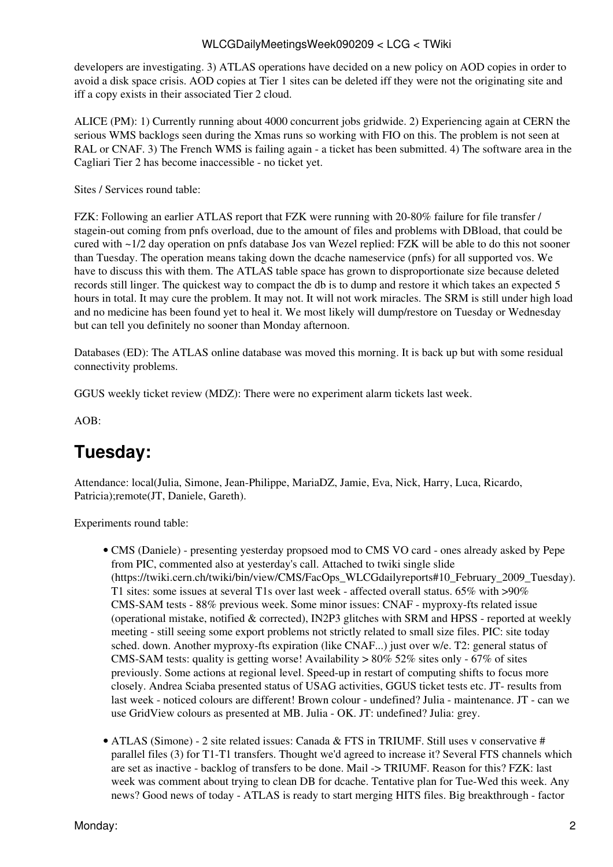#### WLCGDailyMeetingsWeek090209 < LCG < TWiki

developers are investigating. 3) ATLAS operations have decided on a new policy on AOD copies in order to avoid a disk space crisis. AOD copies at Tier 1 sites can be deleted iff they were not the originating site and iff a copy exists in their associated Tier 2 cloud.

ALICE (PM): 1) Currently running about 4000 concurrent jobs gridwide. 2) Experiencing again at CERN the serious WMS backlogs seen during the Xmas runs so working with FIO on this. The problem is not seen at [RAL](https://twiki.cern.ch/twiki/bin/view/LCG/RAL) or CNAF. 3) The French WMS is failing again - a ticket has been submitted. 4) The software area in the Cagliari Tier 2 has become inaccessible - no ticket yet.

Sites / Services round table:

FZK: Following an earlier ATLAS report that FZK were running with 20-80% failure for file transfer / stagein-out coming from pnfs overload, due to the amount of files and problems with DBload, that could be cured with ~1/2 day operation on pnfs database Jos van Wezel replied: FZK will be able to do this not sooner than Tuesday. The operation means taking down the dcache nameservice (pnfs) for all supported vos. We have to discuss this with them. The ATLAS table space has grown to disproportionate size because deleted records still linger. The quickest way to compact the db is to dump and restore it which takes an expected 5 hours in total. It may cure the problem. It may not. It will not work miracles. The SRM is still under high load and no medicine has been found yet to heal it. We most likely will dump/restore on Tuesday or Wednesday but can tell you definitely no sooner than Monday afternoon.

Databases (ED): The ATLAS online database was moved this morning. It is back up but with some residual connectivity problems.

GGUS weekly ticket review (MDZ): There were no experiment alarm tickets last week.

AOB:

## <span id="page-2-0"></span>**Tuesday:**

Attendance: local(Julia, Simone, Jean-Philippe, [MariaDZ,](https://twiki.cern.ch/twiki/bin/edit/LCG/MariaDZ?topicparent=LCG.WLCGDailyMeetingsWeek090209;nowysiwyg=1) Jamie, Eva, Nick, Harry, Luca, Ricardo, Patricia);remote(JT, Daniele, Gareth).

Experiments round table:

- CMS (Daniele) presenting yesterday propsoed mod to CMS VO card ones already asked by Pepe from PIC, commented also at yesterday's call. Attached to twiki single slide ([https://twiki.cern.ch/twiki/bin/view/CMS/FacOps\\_WLCGdailyreports#10\\_February\\_2009\\_Tuesday](https://twiki.cern.ch/twiki/bin/view/CMS/FacOps_WLCGdailyreports#10_February_2009_Tuesday)). T1 sites: some issues at several T1s over last week - affected overall status. 65% with >90% CMS-SAM tests - 88% previous week. Some minor issues: CNAF - myproxy-fts related issue (operational mistake, notified & corrected), [IN2P3](https://twiki.cern.ch/twiki/bin/view/LCG/IN2P3) glitches with SRM and HPSS - reported at weekly meeting - still seeing some export problems not strictly related to small size files. PIC: site today sched. down. Another myproxy-fts expiration (like CNAF...) just over w/e. T2: general status of CMS-SAM tests: quality is getting worse! Availability  $> 80\%$  52% sites only - 67% of sites previously. Some actions at regional level. Speed-up in restart of computing shifts to focus more closely. Andrea Sciaba presented status of USAG activities, GGUS ticket tests etc. JT- results from last week - noticed colours are different! Brown colour - undefined? Julia - maintenance. JT - can we use [GridView](https://twiki.cern.ch/twiki/bin/view/LCG/GridView) colours as presented at MB. Julia - OK. JT: undefined? Julia: grey.
- ATLAS (Simone) 2 site related issues: Canada & FTS in TRIUMF. Still uses v conservative # parallel files (3) for T1-T1 transfers. Thought we'd agreed to increase it? Several FTS channels which are set as inactive - backlog of transfers to be done. Mail -> TRIUMF. Reason for this? FZK: last week was comment about trying to clean DB for dcache. Tentative plan for Tue-Wed this week. Any news? Good news of today - ATLAS is ready to start merging HITS files. Big breakthrough - factor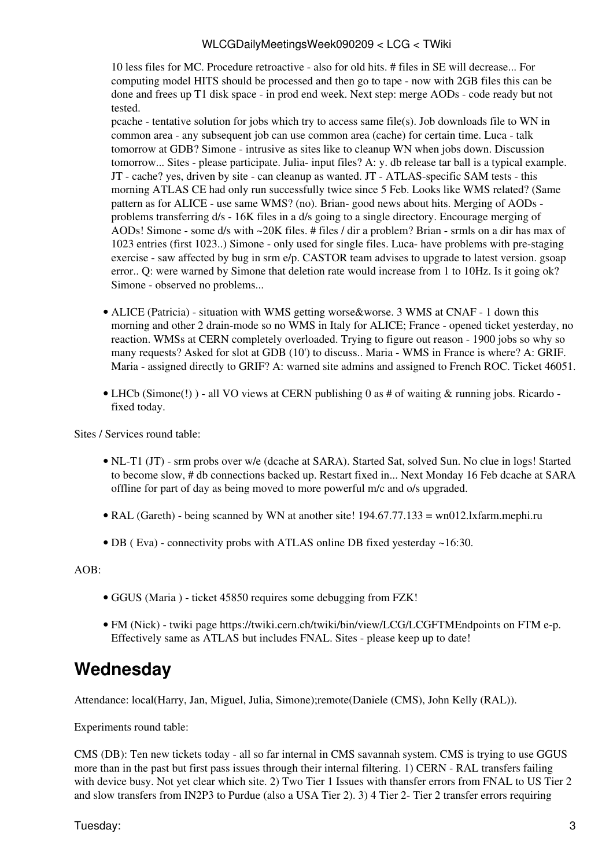10 less files for MC. Procedure retroactive - also for old hits. # files in SE will decrease... For computing model HITS should be processed and then go to tape - now with 2GB files this can be done and frees up T1 disk space - in prod end week. Next step: merge AODs - code ready but not tested.

pcache - tentative solution for jobs which try to access same file(s). Job downloads file to WN in common area - any subsequent job can use common area (cache) for certain time. Luca - talk tomorrow at GDB? Simone - intrusive as sites like to cleanup WN when jobs down. Discussion tomorrow... Sites - please participate. Julia- input files? A: y. db release tar ball is a typical example. JT - cache? yes, driven by site - can cleanup as wanted. JT - ATLAS-specific SAM tests - this morning ATLAS CE had only run successfully twice since 5 Feb. Looks like WMS related? (Same pattern as for ALICE - use same WMS? (no). Brian- good news about hits. Merging of AODs problems transferring d/s - 16K files in a d/s going to a single directory. Encourage merging of AODs! Simone - some d/s with ~20K files. # files / dir a problem? Brian - srmls on a dir has max of 1023 entries (first 1023..) Simone - only used for single files. Luca- have problems with pre-staging exercise - saw affected by bug in srm e/p. CASTOR team advises to upgrade to latest version. gsoap error.. Q: were warned by Simone that deletion rate would increase from 1 to 10Hz. Is it going ok? Simone - observed no problems...

- ALICE (Patricia) situation with WMS getting worse&worse. 3 WMS at CNAF 1 down this morning and other 2 drain-mode so no WMS in Italy for ALICE; France - opened ticket yesterday, no reaction. WMSs at CERN completely overloaded. Trying to figure out reason - 1900 jobs so why so many requests? Asked for slot at GDB (10') to discuss.. Maria - WMS in France is where? A: GRIF. Maria - assigned directly to GRIF? A: warned site admins and assigned to French ROC. Ticket 46051.
- LHCb (Simone(!)) all VO views at CERN publishing 0 as # of waiting & running jobs. Ricardo fixed today.

Sites / Services round table:

- NL-T1 (JT) srm probs over w/e (dcache at SARA). Started Sat, solved Sun. No clue in logs! Started to become slow, # db connections backed up. Restart fixed in... Next Monday 16 Feb dcache at SARA offline for part of day as being moved to more powerful m/c and o/s upgraded.
- [RAL](https://twiki.cern.ch/twiki/bin/view/LCG/RAL) (Gareth) being scanned by WN at another site! 194.67.77.133 = wn012.lxfarm.mephi.ru
- DB ( Eva) connectivity probs with ATLAS online DB fixed yesterday ~16:30.

AOB:

- GGUS (Maria ) ticket 45850 requires some debugging from FZK!
- FM (Nick) twiki page<https://twiki.cern.ch/twiki/bin/view/LCG/LCGFTMEndpoints>on FTM e-p. Effectively same as ATLAS but includes FNAL. Sites - please keep up to date!

### <span id="page-3-0"></span>**Wednesday**

Attendance: local(Harry, Jan, Miguel, Julia, Simone);remote(Daniele (CMS), John Kelly ([RAL\)](https://twiki.cern.ch/twiki/bin/view/LCG/RAL)).

Experiments round table:

CMS (DB): Ten new tickets today - all so far internal in CMS savannah system. CMS is trying to use GGUS more than in the past but first pass issues through their internal filtering. 1) CERN - [RAL](https://twiki.cern.ch/twiki/bin/view/LCG/RAL) transfers failing with device busy. Not yet clear which site. 2) Two Tier 1 Issues with thansfer errors from FNAL to US Tier 2 and slow transfers from [IN2P3](https://twiki.cern.ch/twiki/bin/view/LCG/IN2P3) to Purdue (also a USA Tier 2). 3) 4 Tier 2- Tier 2 transfer errors requiring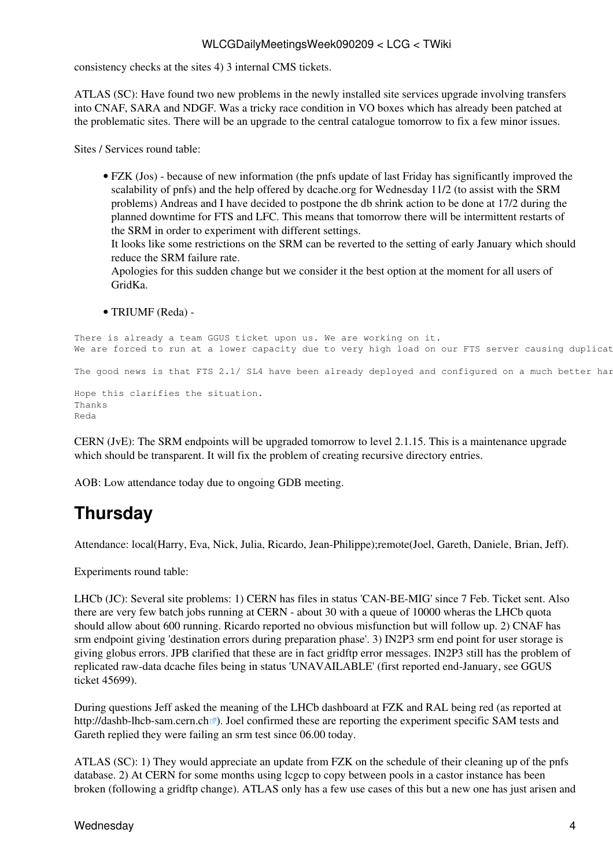#### WLCGDailyMeetingsWeek090209 < LCG < TWiki

consistency checks at the sites 4) 3 internal CMS tickets.

ATLAS (SC): Have found two new problems in the newly installed site services upgrade involving transfers into CNAF, SARA and NDGF. Was a tricky race condition in VO boxes which has already been patched at the problematic sites. There will be an upgrade to the central catalogue tomorrow to fix a few minor issues.

Sites / Services round table:

• FZK (Jos) - because of new information (the pnfs update of last Friday has significantly improved the scalability of pnfs) and the help offered by dcache.org for Wednesday 11/2 (to assist with the SRM problems) Andreas and I have decided to postpone the db shrink action to be done at 17/2 during the planned downtime for FTS and LFC. This means that tomorrow there will be intermittent restarts of the SRM in order to experiment with different settings.

It looks like some restrictions on the SRM can be reverted to the setting of early January which should reduce the SRM failure rate.

Apologies for this sudden change but we consider it the best option at the moment for all users of [GridKa.](https://twiki.cern.ch/twiki/bin/view/LCG/GridKa)

• TRIUMF (Reda) -

```
There is already a team GGUS ticket upon us. We are working on it.
We are forced to run at a lower capacity due to very high load on our FTS server causing duplicat
The good news is that FTS 2.1/ SL4 have been already deployed and configured on a much better har
Hope this clarifies the situation.
Thanks
Reda
```
CERN ([JvE](https://twiki.cern.ch/twiki/bin/edit/LCG/JvE?topicparent=LCG.WLCGDailyMeetingsWeek090209;nowysiwyg=1)): The SRM endpoints will be upgraded tomorrow to level 2.1.15. This is a maintenance upgrade which should be transparent. It will fix the problem of creating recursive directory entries.

AOB: Low attendance today due to ongoing GDB meeting.

## <span id="page-4-0"></span>**Thursday**

Attendance: local(Harry, Eva, Nick, Julia, Ricardo, Jean-Philippe);remote(Joel, Gareth, Daniele, Brian, Jeff).

Experiments round table:

LHCb (JC): Several site problems: 1) CERN has files in status 'CAN-BE-MIG' since 7 Feb. Ticket sent. Also there are very few batch jobs running at CERN - about 30 with a queue of 10000 wheras the LHCb quota should allow about 600 running. Ricardo reported no obvious misfunction but will follow up. 2) CNAF has srm endpoint giving 'destination errors during preparation phase'. 3) [IN2P3](https://twiki.cern.ch/twiki/bin/view/LCG/IN2P3) srm end point for user storage is giving globus errors. JPB clarified that these are in fact gridftp error messages. [IN2P3](https://twiki.cern.ch/twiki/bin/view/LCG/IN2P3) still has the problem of replicated raw-data dcache files being in status 'UNAVAILABLE' (first reported end-January, see GGUS ticket 45699).

During questions Jeff asked the meaning of the LHCb dashboard at FZK and [RAL](https://twiki.cern.ch/twiki/bin/view/LCG/RAL) being red (as reported at <http://dashb-lhcb-sam.cern.ch> ?). Joel confirmed these are reporting the experiment specific SAM tests and Gareth replied they were failing an srm test since 06.00 today.

ATLAS (SC): 1) They would appreciate an update from FZK on the schedule of their cleaning up of the pnfs database. 2) At CERN for some months using lcgcp to copy between pools in a castor instance has been broken (following a gridftp change). ATLAS only has a few use cases of this but a new one has just arisen and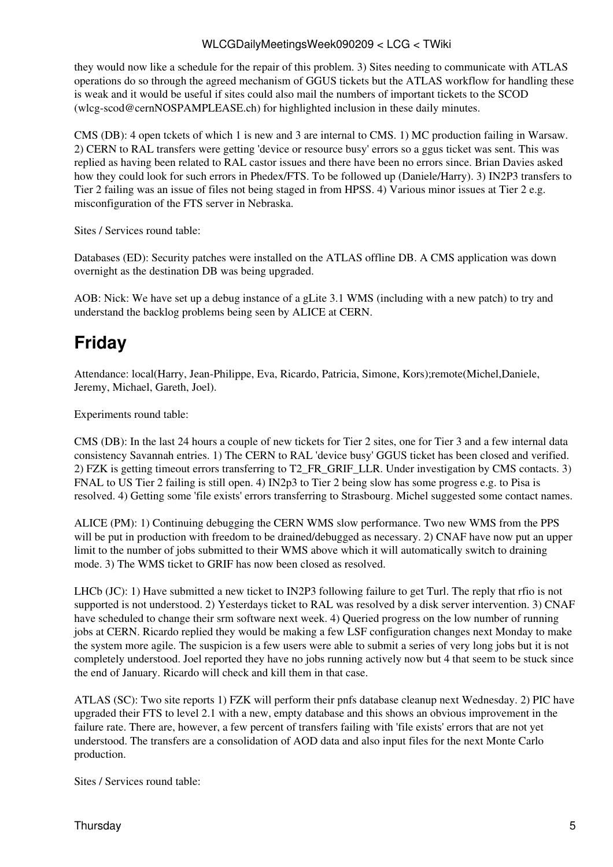#### WLCGDailyMeetingsWeek090209 < LCG < TWiki

they would now like a schedule for the repair of this problem. 3) Sites needing to communicate with ATLAS operations do so through the agreed mechanism of GGUS tickets but the ATLAS workflow for handling these is weak and it would be useful if sites could also mail the numbers of important tickets to the SCOD ([wlcg-scod@cernNOSPAMPLEASE.ch](mailto:wlcg-scod@cernNOSPAMPLEASE.ch)) for highlighted inclusion in these daily minutes.

CMS (DB): 4 open tckets of which 1 is new and 3 are internal to CMS. 1) MC production failing in Warsaw. 2) CERN to [RAL](https://twiki.cern.ch/twiki/bin/view/LCG/RAL) transfers were getting 'device or resource busy' errors so a ggus ticket was sent. This was replied as having been related to [RAL](https://twiki.cern.ch/twiki/bin/view/LCG/RAL) castor issues and there have been no errors since. Brian Davies asked how they could look for such errors in Phedex/FTS. To be followed up (Daniele/Harry). 3) [IN2P3](https://twiki.cern.ch/twiki/bin/view/LCG/IN2P3) transfers to Tier 2 failing was an issue of files not being staged in from HPSS. 4) Various minor issues at Tier 2 e.g. misconfiguration of the FTS server in Nebraska.

Sites / Services round table:

Databases (ED): Security patches were installed on the ATLAS offline DB. A CMS application was down overnight as the destination DB was being upgraded.

AOB: Nick: We have set up a debug instance of a gLite 3.1 WMS (including with a new patch) to try and understand the backlog problems being seen by ALICE at CERN.

# <span id="page-5-0"></span>**Friday**

Attendance: local(Harry, Jean-Philippe, Eva, Ricardo, Patricia, Simone, Kors);remote(Michel,Daniele, Jeremy, Michael, Gareth, Joel).

Experiments round table:

CMS (DB): In the last 24 hours a couple of new tickets for Tier 2 sites, one for Tier 3 and a few internal data consistency Savannah entries. 1) The CERN to [RAL](https://twiki.cern.ch/twiki/bin/view/LCG/RAL) 'device busy' GGUS ticket has been closed and verified. 2) FZK is getting timeout errors transferring to T2\_FR\_GRIF\_LLR. Under investigation by CMS contacts. 3) FNAL to US Tier 2 failing is still open. 4) IN2p3 to Tier 2 being slow has some progress e.g. to Pisa is resolved. 4) Getting some 'file exists' errors transferring to Strasbourg. Michel suggested some contact names.

ALICE (PM): 1) Continuing debugging the CERN WMS slow performance. Two new WMS from the PPS will be put in production with freedom to be drained/debugged as necessary. 2) CNAF have now put an upper limit to the number of jobs submitted to their WMS above which it will automatically switch to draining mode. 3) The WMS ticket to GRIF has now been closed as resolved.

LHCb (JC): 1) Have submitted a new ticket to [IN2P3](https://twiki.cern.ch/twiki/bin/view/LCG/IN2P3) following failure to get Turl. The reply that rfio is not supported is not understood. 2) Yesterdays ticket to [RAL](https://twiki.cern.ch/twiki/bin/view/LCG/RAL) was resolved by a disk server intervention. 3) CNAF have scheduled to change their srm software next week. 4) Queried progress on the low number of running jobs at CERN. Ricardo replied they would be making a few [LSF](https://twiki.cern.ch/twiki/bin/view/LCG/LSF) configuration changes next Monday to make the system more agile. The suspicion is a few users were able to submit a series of very long jobs but it is not completely understood. Joel reported they have no jobs running actively now but 4 that seem to be stuck since the end of January. Ricardo will check and kill them in that case.

ATLAS (SC): Two site reports 1) FZK will perform their pnfs database cleanup next Wednesday. 2) PIC have upgraded their FTS to level 2.1 with a new, empty database and this shows an obvious improvement in the failure rate. There are, however, a few percent of transfers failing with 'file exists' errors that are not yet understood. The transfers are a consolidation of AOD data and also input files for the next Monte Carlo production.

Sites / Services round table: